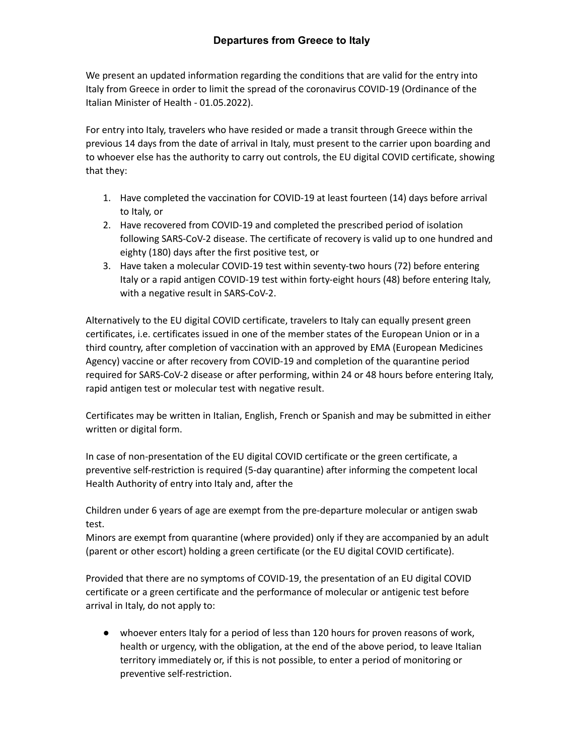## **Departures from Greece to Italy**

We present an updated information regarding the conditions that are valid for the entry into Italy from Greece in order to limit the spread of the coronavirus COVID-19 (Ordinance of the Italian Minister of Health - 01.05.2022).

For entry into Italy, travelers who have resided or made a transit through Greece within the previous 14 days from the date of arrival in Italy, must present to the carrier upon boarding and to whoever else has the authority to carry out controls, the EU digital COVID certificate, showing that they:

- 1. Have completed the vaccination for COVID-19 at least fourteen (14) days before arrival to Italy, or
- 2. Have recovered from COVID-19 and completed the prescribed period of isolation following SARS-CoV-2 disease. The certificate of recovery is valid up to one hundred and eighty (180) days after the first positive test, or
- 3. Have taken a molecular COVID-19 test within seventy-two hours (72) before entering Italy or a rapid antigen COVID-19 test within forty-eight hours (48) before entering Italy, with a negative result in SARS-CoV-2.

Alternatively to the EU digital COVID certificate, travelers to Italy can equally present green certificates, i.e. certificates issued in one of the member states of the European Union or in a third country, after completion of vaccination with an approved by EMA (European Medicines Agency) vaccine or after recovery from COVID-19 and completion of the quarantine period required for SARS-CoV-2 disease or after performing, within 24 or 48 hours before entering Italy, rapid antigen test or molecular test with negative result.

Certificates may be written in Italian, English, French or Spanish and may be submitted in either written or digital form.

In case of non-presentation of the EU digital COVID certificate or the green certificate, a preventive self-restriction is required (5-day quarantine) after informing the competent local Health Authority of entry into Italy and, after the

Children under 6 years of age are exempt from the pre-departure molecular or antigen swab test.

Minors are exempt from quarantine (where provided) only if they are accompanied by an adult (parent or other escort) holding a green certificate (or the EU digital COVID certificate).

Provided that there are no symptoms of COVID-19, the presentation of an EU digital COVID certificate or a green certificate and the performance of molecular or antigenic test before arrival in Italy, do not apply to:

● whoever enters Italy for a period of less than 120 hours for proven reasons of work, health or urgency, with the obligation, at the end of the above period, to leave Italian territory immediately or, if this is not possible, to enter a period of monitoring or preventive self-restriction.